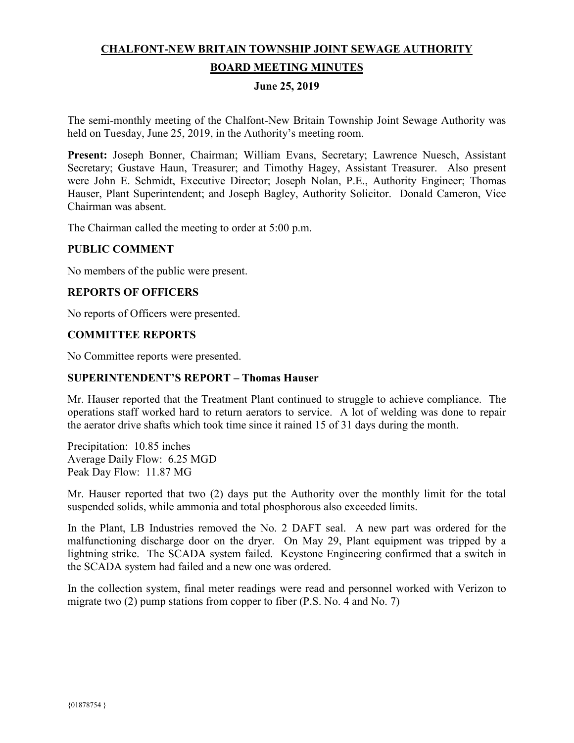# **CHALFONT-NEW BRITAIN TOWNSHIP JOINT SEWAGE AUTHORITY BOARD MEETING MINUTES**

#### **June 25, 2019**

The semi-monthly meeting of the Chalfont-New Britain Township Joint Sewage Authority was held on Tuesday, June 25, 2019, in the Authority's meeting room.

**Present:** Joseph Bonner, Chairman; William Evans, Secretary; Lawrence Nuesch, Assistant Secretary; Gustave Haun, Treasurer; and Timothy Hagey, Assistant Treasurer. Also present were John E. Schmidt, Executive Director; Joseph Nolan, P.E., Authority Engineer; Thomas Hauser, Plant Superintendent; and Joseph Bagley, Authority Solicitor. Donald Cameron, Vice Chairman was absent.

The Chairman called the meeting to order at 5:00 p.m.

#### **PUBLIC COMMENT**

No members of the public were present.

#### **REPORTS OF OFFICERS**

No reports of Officers were presented.

#### **COMMITTEE REPORTS**

No Committee reports were presented.

#### **SUPERINTENDENT'S REPORT – Thomas Hauser**

Mr. Hauser reported that the Treatment Plant continued to struggle to achieve compliance. The operations staff worked hard to return aerators to service. A lot of welding was done to repair the aerator drive shafts which took time since it rained 15 of 31 days during the month.

Precipitation: 10.85 inches Average Daily Flow: 6.25 MGD Peak Day Flow: 11.87 MG

Mr. Hauser reported that two (2) days put the Authority over the monthly limit for the total suspended solids, while ammonia and total phosphorous also exceeded limits.

In the Plant, LB Industries removed the No. 2 DAFT seal. A new part was ordered for the malfunctioning discharge door on the dryer. On May 29, Plant equipment was tripped by a lightning strike. The SCADA system failed. Keystone Engineering confirmed that a switch in the SCADA system had failed and a new one was ordered.

In the collection system, final meter readings were read and personnel worked with Verizon to migrate two (2) pump stations from copper to fiber (P.S. No. 4 and No. 7)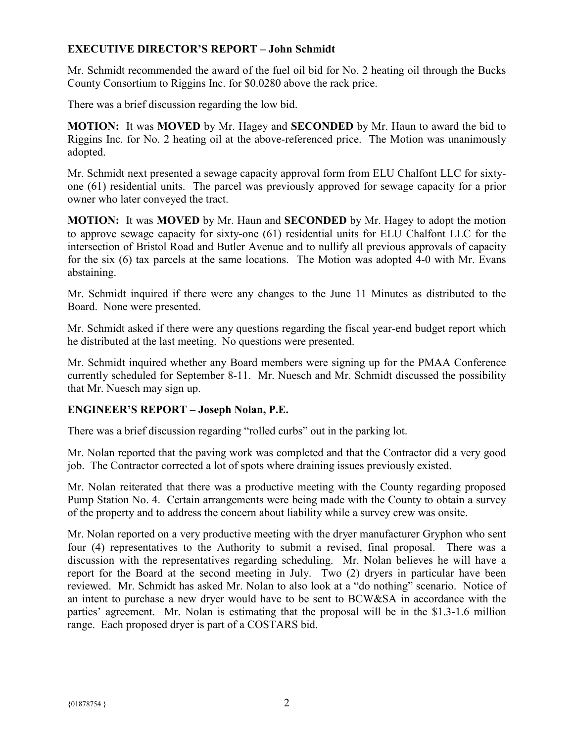# **EXECUTIVE DIRECTOR'S REPORT – John Schmidt**

Mr. Schmidt recommended the award of the fuel oil bid for No. 2 heating oil through the Bucks County Consortium to Riggins Inc. for \$0.0280 above the rack price.

There was a brief discussion regarding the low bid.

**MOTION:** It was **MOVED** by Mr. Hagey and **SECONDED** by Mr. Haun to award the bid to Riggins Inc. for No. 2 heating oil at the above-referenced price. The Motion was unanimously adopted.

Mr. Schmidt next presented a sewage capacity approval form from ELU Chalfont LLC for sixtyone (61) residential units. The parcel was previously approved for sewage capacity for a prior owner who later conveyed the tract.

**MOTION:** It was **MOVED** by Mr. Haun and **SECONDED** by Mr. Hagey to adopt the motion to approve sewage capacity for sixty-one (61) residential units for ELU Chalfont LLC for the intersection of Bristol Road and Butler Avenue and to nullify all previous approvals of capacity for the six (6) tax parcels at the same locations. The Motion was adopted 4-0 with Mr. Evans abstaining.

Mr. Schmidt inquired if there were any changes to the June 11 Minutes as distributed to the Board. None were presented.

Mr. Schmidt asked if there were any questions regarding the fiscal year-end budget report which he distributed at the last meeting. No questions were presented.

Mr. Schmidt inquired whether any Board members were signing up for the PMAA Conference currently scheduled for September 8-11. Mr. Nuesch and Mr. Schmidt discussed the possibility that Mr. Nuesch may sign up.

### **ENGINEER'S REPORT – Joseph Nolan, P.E.**

There was a brief discussion regarding "rolled curbs" out in the parking lot.

Mr. Nolan reported that the paving work was completed and that the Contractor did a very good job. The Contractor corrected a lot of spots where draining issues previously existed.

Mr. Nolan reiterated that there was a productive meeting with the County regarding proposed Pump Station No. 4. Certain arrangements were being made with the County to obtain a survey of the property and to address the concern about liability while a survey crew was onsite.

Mr. Nolan reported on a very productive meeting with the dryer manufacturer Gryphon who sent four (4) representatives to the Authority to submit a revised, final proposal. There was a discussion with the representatives regarding scheduling. Mr. Nolan believes he will have a report for the Board at the second meeting in July. Two (2) dryers in particular have been reviewed. Mr. Schmidt has asked Mr. Nolan to also look at a "do nothing" scenario. Notice of an intent to purchase a new dryer would have to be sent to BCW&SA in accordance with the parties' agreement. Mr. Nolan is estimating that the proposal will be in the \$1.3-1.6 million range. Each proposed dryer is part of a COSTARS bid.